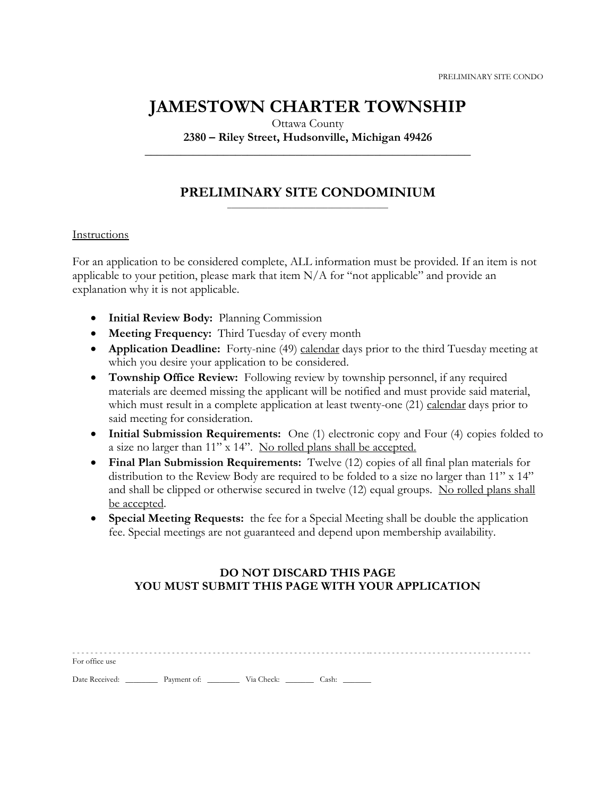## **JAMESTOWN CHARTER TOWNSHIP**

Ottawa County **2380 – Riley Street, Hudsonville, Michigan 49426 \_\_\_\_\_\_\_\_\_\_\_\_\_\_\_\_\_\_\_\_\_\_\_\_\_\_\_\_\_\_\_\_\_\_\_\_\_\_\_\_\_\_\_\_\_\_\_\_\_\_\_\_\_\_**

### **PRELIMINARY SITE CONDOMINIUM** \_\_\_\_\_\_\_\_\_\_\_\_\_\_\_\_\_\_\_\_\_\_\_\_\_\_\_\_\_\_\_\_\_\_\_\_\_\_\_\_

### Instructions

For an application to be considered complete, ALL information must be provided. If an item is not applicable to your petition, please mark that item  $N/A$  for "not applicable" and provide an explanation why it is not applicable.

- **Initial Review Body:** Planning Commission
- **Meeting Frequency:** Third Tuesday of every month
- **Application Deadline:** Forty-nine (49) calendar days prior to the third Tuesday meeting at which you desire your application to be considered.
- **Township Office Review:** Following review by township personnel, if any required materials are deemed missing the applicant will be notified and must provide said material, which must result in a complete application at least twenty-one (21) calendar days prior to said meeting for consideration.
- **Initial Submission Requirements:** One (1) electronic copy and Four (4) copies folded to a size no larger than 11" x 14". No rolled plans shall be accepted.
- **Final Plan Submission Requirements:** Twelve (12) copies of all final plan materials for distribution to the Review Body are required to be folded to a size no larger than 11" x 14" and shall be clipped or otherwise secured in twelve (12) equal groups. No rolled plans shall be accepted.
- **Special Meeting Requests:** the fee for a Special Meeting shall be double the application fee. Special meetings are not guaranteed and depend upon membership availability.

### **DO NOT DISCARD THIS PAGE YOU MUST SUBMIT THIS PAGE WITH YOUR APPLICATION**

| For office use |                                                   |  |  |
|----------------|---------------------------------------------------|--|--|
|                | Date Received: Payment of: Via Check: Cash: Cash: |  |  |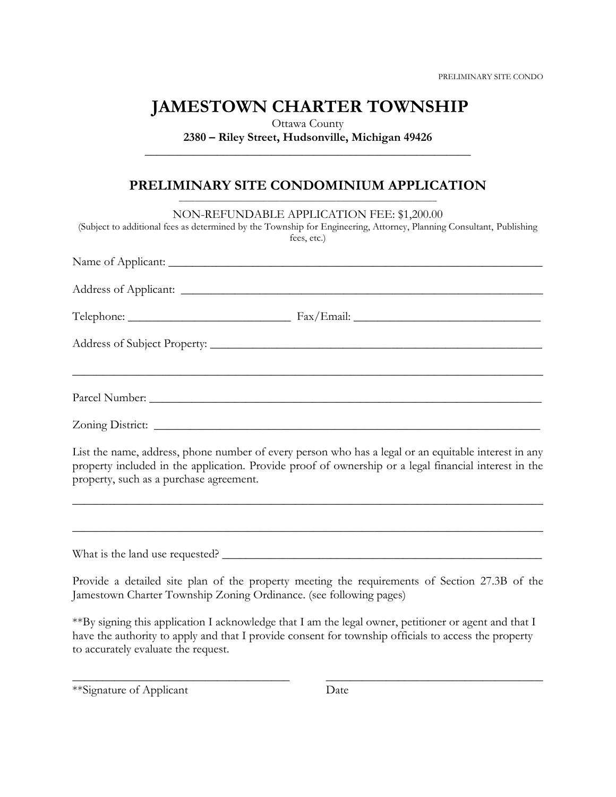# **JAMESTOWN CHARTER TOWNSHIP**

Ottawa County **2380 – Riley Street, Hudsonville, Michigan 49426 \_\_\_\_\_\_\_\_\_\_\_\_\_\_\_\_\_\_\_\_\_\_\_\_\_\_\_\_\_\_\_\_\_\_\_\_\_\_\_\_\_\_\_\_\_\_\_\_\_\_\_\_\_\_**

## **PRELIMINARY SITE CONDOMINIUM APPLICATION**

| NON-REFUNDABLE APPLICATION FEE: \$1,200.00<br>(Subject to additional fees as determined by the Township for Engineering, Attorney, Planning Consultant, Publishing<br>fees, etc.)                                                                        |  |
|----------------------------------------------------------------------------------------------------------------------------------------------------------------------------------------------------------------------------------------------------------|--|
|                                                                                                                                                                                                                                                          |  |
|                                                                                                                                                                                                                                                          |  |
|                                                                                                                                                                                                                                                          |  |
|                                                                                                                                                                                                                                                          |  |
|                                                                                                                                                                                                                                                          |  |
| Zoning District:                                                                                                                                                                                                                                         |  |
| List the name, address, phone number of every person who has a legal or an equitable interest in any<br>property included in the application. Provide proof of ownership or a legal financial interest in the<br>property, such as a purchase agreement. |  |
|                                                                                                                                                                                                                                                          |  |
|                                                                                                                                                                                                                                                          |  |
| Provide a detailed site plan of the property meeting the requirements of Section 27.3B of the<br>Jamestown Charter Township Zoning Ordinance. (see following pages)                                                                                      |  |
| **By signing this application I acknowledge that I am the legal owner, petitioner or agent and that I<br>have the authority to apply and that I provide consent for township officials to access the property<br>to accurately evaluate the request.     |  |

\*\*Signature of Applicant Date

\_\_\_\_\_\_\_\_\_\_\_\_\_\_\_\_\_\_\_\_\_\_\_\_\_\_\_\_\_\_\_\_\_\_\_\_ \_\_\_\_\_\_\_\_\_\_\_\_\_\_\_\_\_\_\_\_\_\_\_\_\_\_\_\_\_\_\_\_\_\_\_\_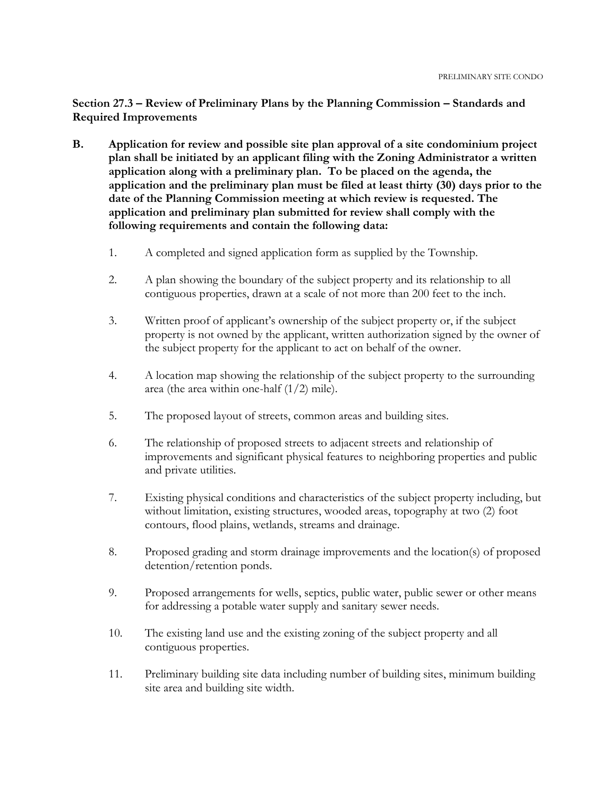**Section 27.3 – Review of Preliminary Plans by the Planning Commission – Standards and Required Improvements**

- **B. Application for review and possible site plan approval of a site condominium project plan shall be initiated by an applicant filing with the Zoning Administrator a written application along with a preliminary plan. To be placed on the agenda, the application and the preliminary plan must be filed at least thirty (30) days prior to the date of the Planning Commission meeting at which review is requested. The application and preliminary plan submitted for review shall comply with the following requirements and contain the following data:**
	- 1. A completed and signed application form as supplied by the Township.
	- 2. A plan showing the boundary of the subject property and its relationship to all contiguous properties, drawn at a scale of not more than 200 feet to the inch.
	- 3. Written proof of applicant's ownership of the subject property or, if the subject property is not owned by the applicant, written authorization signed by the owner of the subject property for the applicant to act on behalf of the owner.
	- 4. A location map showing the relationship of the subject property to the surrounding area (the area within one-half (1/2) mile).
	- 5. The proposed layout of streets, common areas and building sites.
	- 6. The relationship of proposed streets to adjacent streets and relationship of improvements and significant physical features to neighboring properties and public and private utilities.
	- 7. Existing physical conditions and characteristics of the subject property including, but without limitation, existing structures, wooded areas, topography at two (2) foot contours, flood plains, wetlands, streams and drainage.
	- 8. Proposed grading and storm drainage improvements and the location(s) of proposed detention/retention ponds.
	- 9. Proposed arrangements for wells, septics, public water, public sewer or other means for addressing a potable water supply and sanitary sewer needs.
	- 10. The existing land use and the existing zoning of the subject property and all contiguous properties.
	- 11. Preliminary building site data including number of building sites, minimum building site area and building site width.